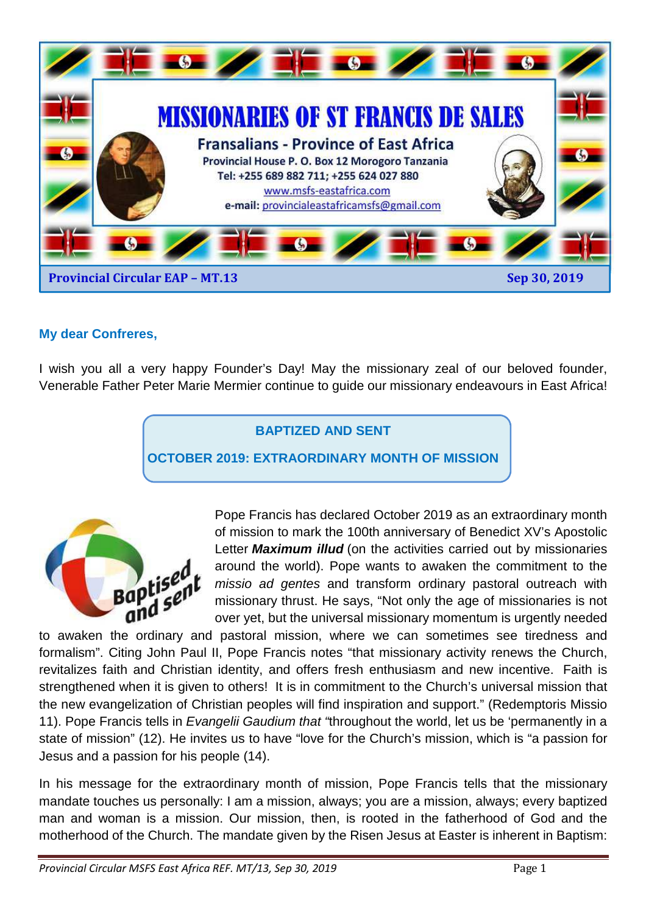

#### **My dear Confreres,**

I wish you all a very happy Founder's Day! May the missionary zeal of our beloved founder, Venerable Father Peter Marie Mermier continue to guide our missionary endeavours in East Africa!

### **BAPTIZED AND SENT**

**OCTOBER 2019: EXTRAORDINARY MONTH OF MISSION** 



Pope Francis has declared October 2019 as an extraordinary month of mission to mark the 100th anniversary of Benedict XV's Apostolic Letter **Maximum illud** (on the activities carried out by missionaries around the world). Pope wants to awaken the commitment to the missio ad gentes and transform ordinary pastoral outreach with missionary thrust. He says, "Not only the age of missionaries is not over yet, but the universal missionary momentum is urgently needed

to awaken the ordinary and pastoral mission, where we can sometimes see tiredness and formalism". Citing John Paul II, Pope Francis notes "that missionary activity renews the Church, revitalizes faith and Christian identity, and offers fresh enthusiasm and new incentive. Faith is strengthened when it is given to others! It is in commitment to the Church's universal mission that the new evangelization of Christian peoples will find inspiration and support." (Redemptoris Missio 11). Pope Francis tells in Evangelii Gaudium that "throughout the world, let us be 'permanently in a state of mission" (12). He invites us to have "love for the Church's mission, which is "a passion for Jesus and a passion for his people (14).

In his message for the extraordinary month of mission, Pope Francis tells that the missionary mandate touches us personally: I am a mission, always; you are a mission, always; every baptized man and woman is a mission. Our mission, then, is rooted in the fatherhood of God and the motherhood of the Church. The mandate given by the Risen Jesus at Easter is inherent in Baptism: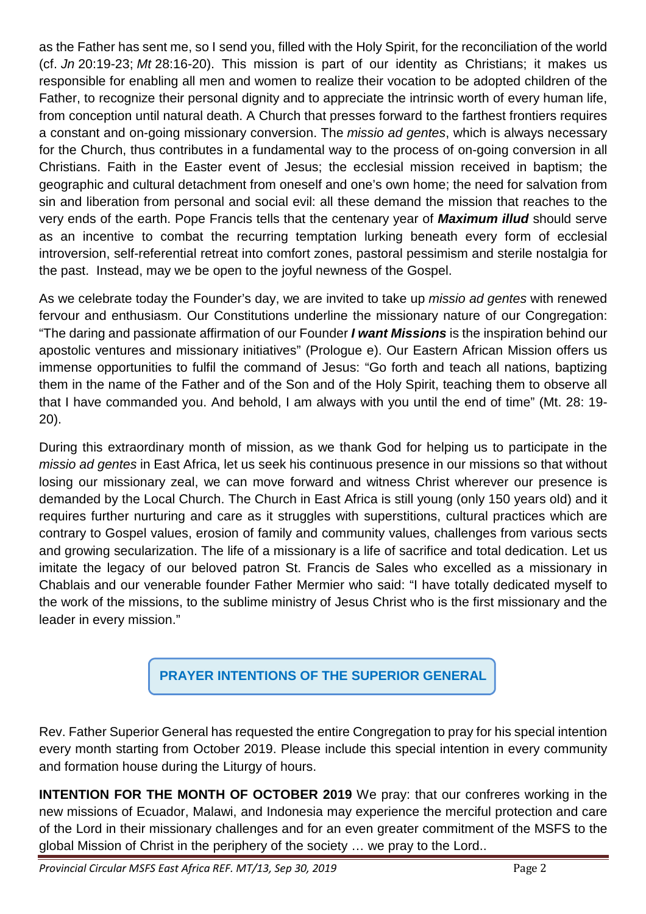as the Father has sent me, so I send you, filled with the Holy Spirit, for the reconciliation of the world (cf. Jn 20:19-23; Mt 28:16-20). This mission is part of our identity as Christians; it makes us responsible for enabling all men and women to realize their vocation to be adopted children of the Father, to recognize their personal dignity and to appreciate the intrinsic worth of every human life, from conception until natural death. A Church that presses forward to the farthest frontiers requires a constant and on-going missionary conversion. The *missio ad gentes*, which is always necessary for the Church, thus contributes in a fundamental way to the process of on-going conversion in all Christians. Faith in the Easter event of Jesus; the ecclesial mission received in baptism; the geographic and cultural detachment from oneself and one's own home; the need for salvation from sin and liberation from personal and social evil: all these demand the mission that reaches to the very ends of the earth. Pope Francis tells that the centenary year of **Maximum illud** should serve as an incentive to combat the recurring temptation lurking beneath every form of ecclesial introversion, self-referential retreat into comfort zones, pastoral pessimism and sterile nostalgia for the past. Instead, may we be open to the joyful newness of the Gospel.

As we celebrate today the Founder's day, we are invited to take up *missio ad gentes* with renewed fervour and enthusiasm. Our Constitutions underline the missionary nature of our Congregation: "The daring and passionate affirmation of our Founder **I want Missions** is the inspiration behind our apostolic ventures and missionary initiatives" (Prologue e). Our Eastern African Mission offers us immense opportunities to fulfil the command of Jesus: "Go forth and teach all nations, baptizing them in the name of the Father and of the Son and of the Holy Spirit, teaching them to observe all that I have commanded you. And behold, I am always with you until the end of time" (Mt. 28: 19- 20).

During this extraordinary month of mission, as we thank God for helping us to participate in the missio ad gentes in East Africa, let us seek his continuous presence in our missions so that without losing our missionary zeal, we can move forward and witness Christ wherever our presence is demanded by the Local Church. The Church in East Africa is still young (only 150 years old) and it requires further nurturing and care as it struggles with superstitions, cultural practices which are contrary to Gospel values, erosion of family and community values, challenges from various sects and growing secularization. The life of a missionary is a life of sacrifice and total dedication. Let us imitate the legacy of our beloved patron St. Francis de Sales who excelled as a missionary in Chablais and our venerable founder Father Mermier who said: "I have totally dedicated myself to the work of the missions, to the sublime ministry of Jesus Christ who is the first missionary and the leader in every mission."

# **PRAYER INTENTIONS OF THE SUPERIOR GENERAL**

Rev. Father Superior General has requested the entire Congregation to pray for his special intention every month starting from October 2019. Please include this special intention in every community and formation house during the Liturgy of hours.

**INTENTION FOR THE MONTH OF OCTOBER 2019** We pray: that our confreres working in the new missions of Ecuador, Malawi, and Indonesia may experience the merciful protection and care of the Lord in their missionary challenges and for an even greater commitment of the MSFS to the global Mission of Christ in the periphery of the society … we pray to the Lord..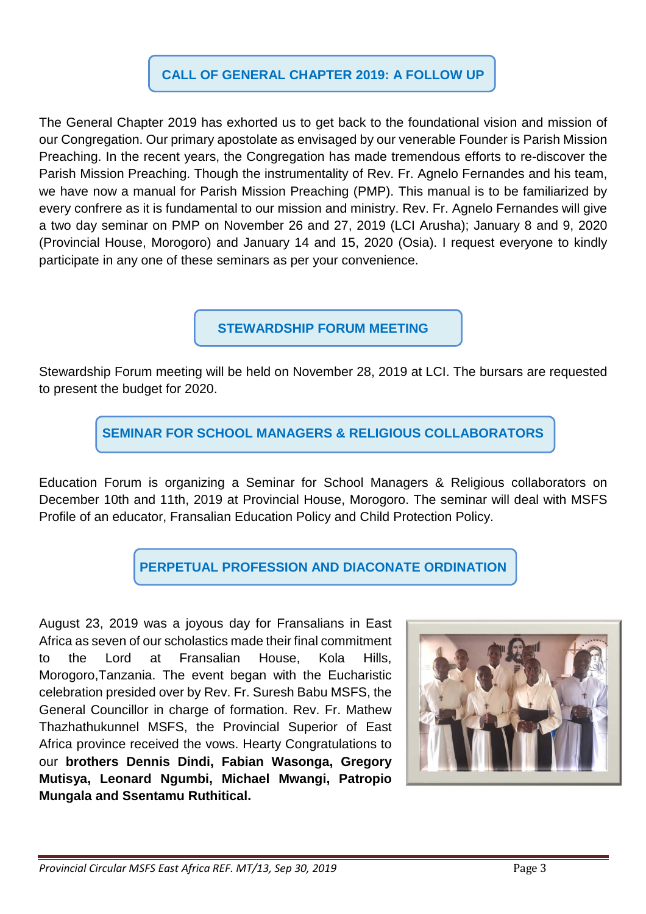### **CALL OF GENERAL CHAPTER 2019: A FOLLOW UP**

The General Chapter 2019 has exhorted us to get back to the foundational vision and mission of our Congregation. Our primary apostolate as envisaged by our venerable Founder is Parish Mission Preaching. In the recent years, the Congregation has made tremendous efforts to re-discover the Parish Mission Preaching. Though the instrumentality of Rev. Fr. Agnelo Fernandes and his team, we have now a manual for Parish Mission Preaching (PMP). This manual is to be familiarized by every confrere as it is fundamental to our mission and ministry. Rev. Fr. Agnelo Fernandes will give a two day seminar on PMP on November 26 and 27, 2019 (LCI Arusha); January 8 and 9, 2020 (Provincial House, Morogoro) and January 14 and 15, 2020 (Osia). I request everyone to kindly participate in any one of these seminars as per your convenience.

**STEWARDSHIP FORUM MEETING** 

Stewardship Forum meeting will be held on November 28, 2019 at LCI. The bursars are requested to present the budget for 2020.

**SEMINAR FOR SCHOOL MANAGERS & RELIGIOUS COLLABORATORS** 

Education Forum is organizing a Seminar for School Managers & Religious collaborators on December 10th and 11th, 2019 at Provincial House, Morogoro. The seminar will deal with MSFS Profile of an educator, Fransalian Education Policy and Child Protection Policy.

**PERPETUAL PROFESSION AND DIACONATE ORDINATION** 

August 23, 2019 was a joyous day for Fransalians in East Africa as seven of our scholastics made their final commitment to the Lord at Fransalian House, Kola Hills, Morogoro,Tanzania. The event began with the Eucharistic celebration presided over by Rev. Fr. Suresh Babu MSFS, the General Councillor in charge of formation. Rev. Fr. Mathew Thazhathukunnel MSFS, the Provincial Superior of East Africa province received the vows. Hearty Congratulations to our **brothers Dennis Dindi, Fabian Wasonga, Gregory Mutisya, Leonard Ngumbi, Michael Mwangi, Patropio Mungala and Ssentamu Ruthitical.** 

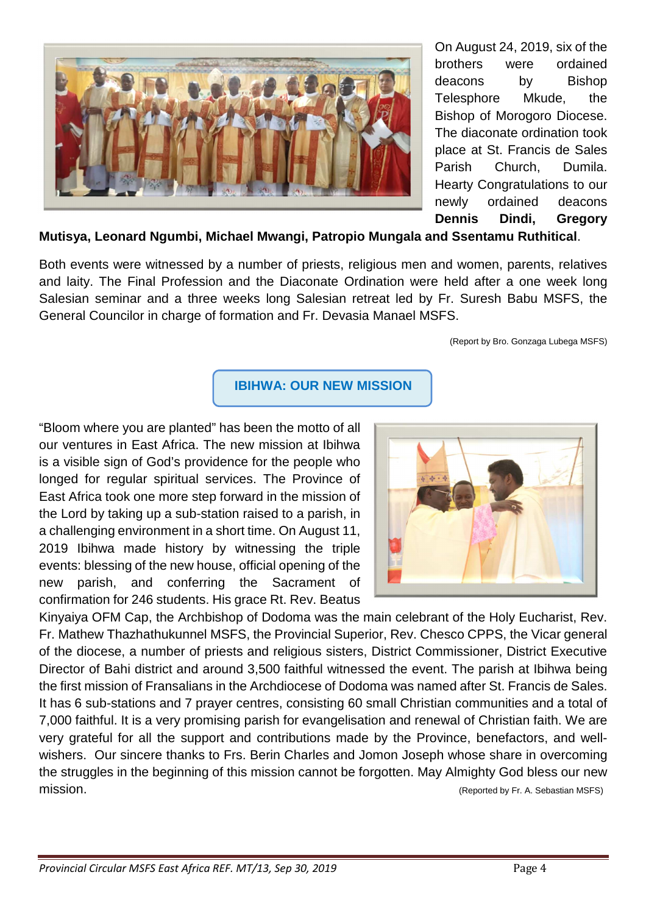

On August 24, 2019, six of the brothers were ordained deacons by Bishop Telesphore Mkude, the Bishop of Morogoro Diocese. The diaconate ordination took place at St. Francis de Sales Parish Church, Dumila. Hearty Congratulations to our newly ordained deacons **Dennis Dindi, Gregory** 

### **Mutisya, Leonard Ngumbi, Michael Mwangi, Patropio Mungala and Ssentamu Ruthitical**.

Both events were witnessed by a number of priests, religious men and women, parents, relatives and laity. The Final Profession and the Diaconate Ordination were held after a one week long Salesian seminar and a three weeks long Salesian retreat led by Fr. Suresh Babu MSFS, the General Councilor in charge of formation and Fr. Devasia Manael MSFS.

(Report by Bro. Gonzaga Lubega MSFS)

### **IBIHWA: OUR NEW MISSION**

"Bloom where you are planted" has been the motto of all our ventures in East Africa. The new mission at Ibihwa is a visible sign of God's providence for the people who longed for regular spiritual services. The Province of East Africa took one more step forward in the mission of the Lord by taking up a sub-station raised to a parish, in a challenging environment in a short time. On August 11, 2019 Ibihwa made history by witnessing the triple events: blessing of the new house, official opening of the new parish, and conferring the Sacrament of confirmation for 246 students. His grace Rt. Rev. Beatus



Kinyaiya OFM Cap, the Archbishop of Dodoma was the main celebrant of the Holy Eucharist, Rev. Fr. Mathew Thazhathukunnel MSFS, the Provincial Superior, Rev. Chesco CPPS, the Vicar general of the diocese, a number of priests and religious sisters, District Commissioner, District Executive Director of Bahi district and around 3,500 faithful witnessed the event. The parish at Ibihwa being the first mission of Fransalians in the Archdiocese of Dodoma was named after St. Francis de Sales. It has 6 sub-stations and 7 prayer centres, consisting 60 small Christian communities and a total of 7,000 faithful. It is a very promising parish for evangelisation and renewal of Christian faith. We are very grateful for all the support and contributions made by the Province, benefactors, and wellwishers. Our sincere thanks to Frs. Berin Charles and Jomon Joseph whose share in overcoming the struggles in the beginning of this mission cannot be forgotten. May Almighty God bless our new mission. (Reported by Fr. A. Sebastian MSFS)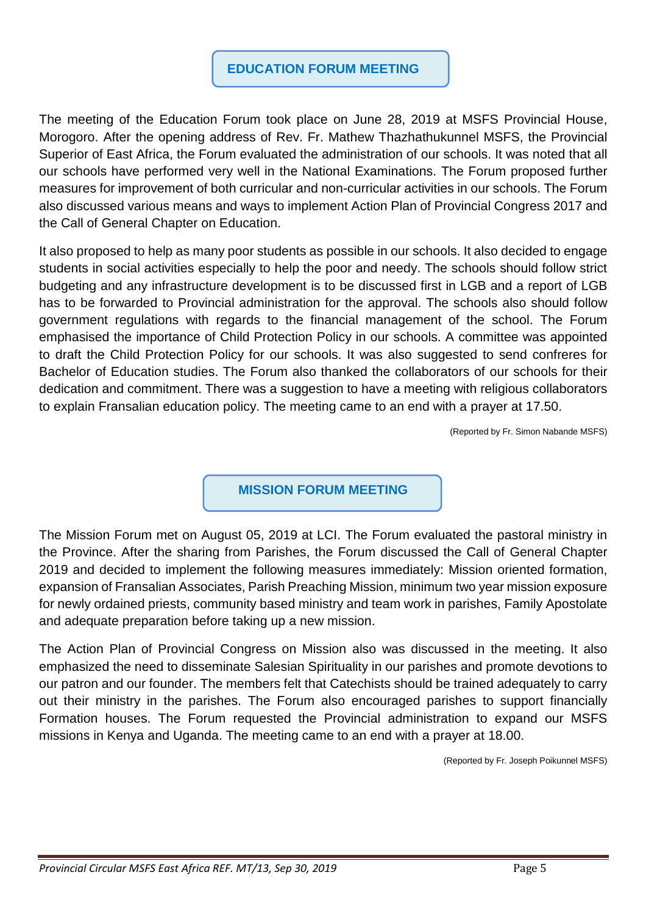### **EDUCATION FORUM MEETING**

The meeting of the Education Forum took place on June 28, 2019 at MSFS Provincial House, Morogoro. After the opening address of Rev. Fr. Mathew Thazhathukunnel MSFS, the Provincial Superior of East Africa, the Forum evaluated the administration of our schools. It was noted that all our schools have performed very well in the National Examinations. The Forum proposed further measures for improvement of both curricular and non-curricular activities in our schools. The Forum also discussed various means and ways to implement Action Plan of Provincial Congress 2017 and the Call of General Chapter on Education.

It also proposed to help as many poor students as possible in our schools. It also decided to engage students in social activities especially to help the poor and needy. The schools should follow strict budgeting and any infrastructure development is to be discussed first in LGB and a report of LGB has to be forwarded to Provincial administration for the approval. The schools also should follow government regulations with regards to the financial management of the school. The Forum emphasised the importance of Child Protection Policy in our schools. A committee was appointed to draft the Child Protection Policy for our schools. It was also suggested to send confreres for Bachelor of Education studies. The Forum also thanked the collaborators of our schools for their dedication and commitment. There was a suggestion to have a meeting with religious collaborators to explain Fransalian education policy. The meeting came to an end with a prayer at 17.50.

(Reported by Fr. Simon Nabande MSFS)

**MISSION FORUM MEETING**

The Mission Forum met on August 05, 2019 at LCI. The Forum evaluated the pastoral ministry in the Province. After the sharing from Parishes, the Forum discussed the Call of General Chapter 2019 and decided to implement the following measures immediately: Mission oriented formation, expansion of Fransalian Associates, Parish Preaching Mission, minimum two year mission exposure for newly ordained priests, community based ministry and team work in parishes, Family Apostolate and adequate preparation before taking up a new mission.

The Action Plan of Provincial Congress on Mission also was discussed in the meeting. It also emphasized the need to disseminate Salesian Spirituality in our parishes and promote devotions to our patron and our founder. The members felt that Catechists should be trained adequately to carry out their ministry in the parishes. The Forum also encouraged parishes to support financially Formation houses. The Forum requested the Provincial administration to expand our MSFS missions in Kenya and Uganda. The meeting came to an end with a prayer at 18.00.

(Reported by Fr. Joseph Poikunnel MSFS)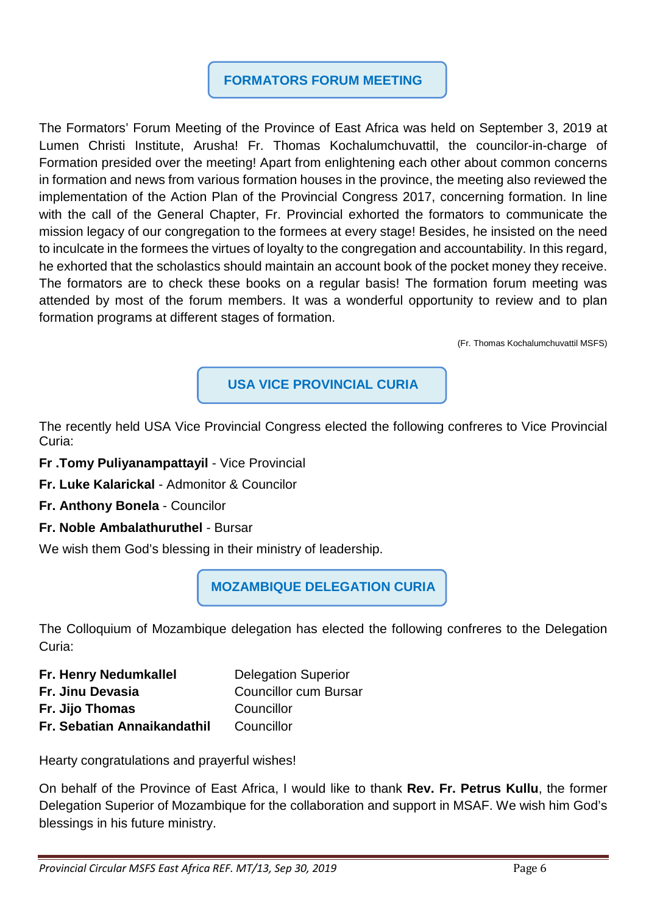## **FORMATORS FORUM MEETING**

The Formators' Forum Meeting of the Province of East Africa was held on September 3, 2019 at Lumen Christi Institute, Arusha! Fr. Thomas Kochalumchuvattil, the councilor-in-charge of Formation presided over the meeting! Apart from enlightening each other about common concerns in formation and news from various formation houses in the province, the meeting also reviewed the implementation of the Action Plan of the Provincial Congress 2017, concerning formation. In line with the call of the General Chapter, Fr. Provincial exhorted the formators to communicate the mission legacy of our congregation to the formees at every stage! Besides, he insisted on the need to inculcate in the formees the virtues of loyalty to the congregation and accountability. In this regard, he exhorted that the scholastics should maintain an account book of the pocket money they receive. The formators are to check these books on a regular basis! The formation forum meeting was attended by most of the forum members. It was a wonderful opportunity to review and to plan formation programs at different stages of formation.

(Fr. Thomas Kochalumchuvattil MSFS)

**USA VICE PROVINCIAL CURIA**

The recently held USA Vice Provincial Congress elected the following confreres to Vice Provincial Curia:

- **Fr .Tomy Puliyanampattayil** Vice Provincial
- **Fr. Luke Kalarickal** Admonitor & Councilor
- **Fr. Anthony Bonela** Councilor
- **Fr. Noble Ambalathuruthel** Bursar

We wish them God's blessing in their ministry of leadership.

**MOZAMBIQUE DELEGATION CURIA** 

The Colloquium of Mozambique delegation has elected the following confreres to the Delegation Curia:

| Fr. Henry Nedumkallel       | <b>Delegation Superior</b>   |
|-----------------------------|------------------------------|
| Fr. Jinu Devasia            | <b>Councillor cum Bursar</b> |
| Fr. Jijo Thomas             | Councillor                   |
| Fr. Sebatian Annaikandathil | Councillor                   |

Hearty congratulations and prayerful wishes!

On behalf of the Province of East Africa, I would like to thank **Rev. Fr. Petrus Kullu**, the former Delegation Superior of Mozambique for the collaboration and support in MSAF. We wish him God's blessings in his future ministry.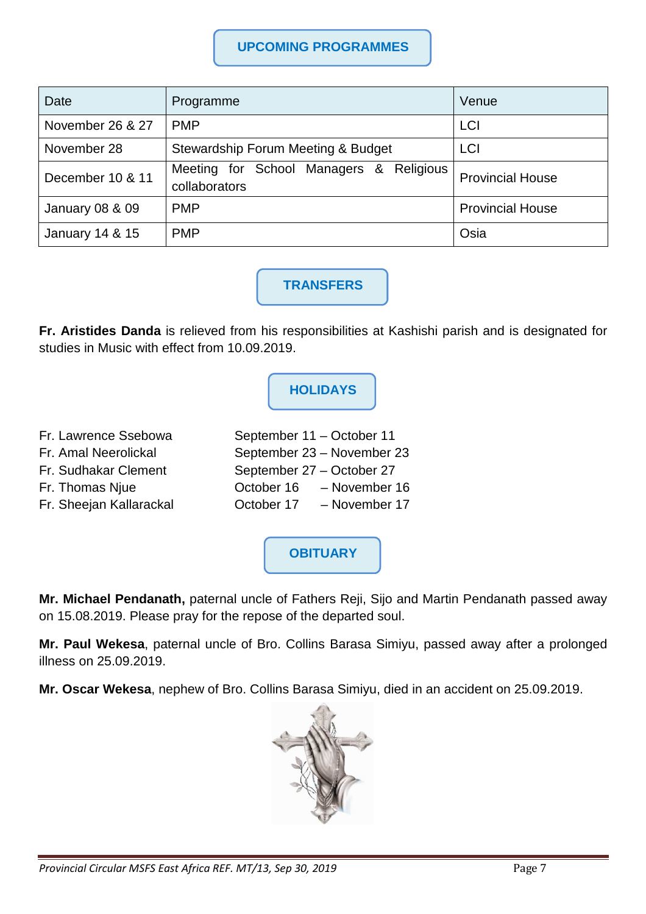### **UPCOMING PROGRAMMES**

| Date                       | Programme                                                | Venue                   |
|----------------------------|----------------------------------------------------------|-------------------------|
| November 26 & 27           | <b>PMP</b>                                               | LCI                     |
| November 28                | Stewardship Forum Meeting & Budget                       | <b>LCI</b>              |
| December 10 & 11           | Meeting for School Managers & Religious<br>collaborators | <b>Provincial House</b> |
| <b>January 08 &amp; 09</b> | <b>PMP</b>                                               | <b>Provincial House</b> |
| January 14 & 15            | <b>PMP</b>                                               | Osia                    |

**TRANSFERS** 

**Fr. Aristides Danda** is relieved from his responsibilities at Kashishi parish and is designated for studies in Music with effect from 10.09.2019.

## **HOLIDAYS**

- Fr. Lawrence Ssebowa September 11 October 11 Fr. Amal Neerolickal September 23 – November 23 Fr. Sudhakar Clement September 27 – October 27
- 
- Fr. Thomas Njue October 16 November 16 Fr. Sheejan Kallarackal October 17 – November 17

**OBITUARY** 

**Mr. Michael Pendanath,** paternal uncle of Fathers Reji, Sijo and Martin Pendanath passed away on 15.08.2019. Please pray for the repose of the departed soul.

**Mr. Paul Wekesa**, paternal uncle of Bro. Collins Barasa Simiyu, passed away after a prolonged illness on 25.09.2019.

**Mr. Oscar Wekesa**, nephew of Bro. Collins Barasa Simiyu, died in an accident on 25.09.2019.